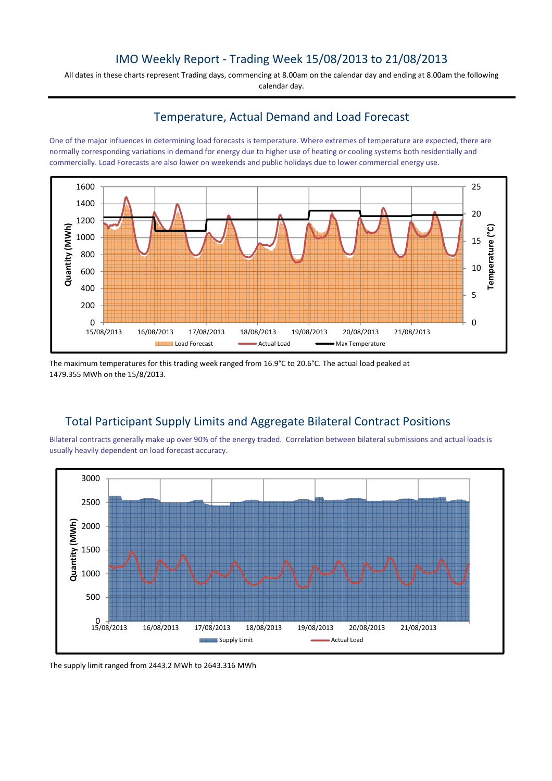## IMO Weekly Report - Trading Week 15/08/2013 to 21/08/2013

All dates in these charts represent Trading days, commencing at 8.00am on the calendar day and ending at 8.00am the following calendar day.

#### Temperature, Actual Demand and Load Forecast

One of the major influences in determining load forecasts is temperature. Where extremes of temperature are expected, there are normally corresponding variations in demand for energy due to higher use of heating or cooling systems both residentially and commercially. Load Forecasts are also lower on weekends and public holidays due to lower commercial energy use.



The maximum temperatures for this trading week ranged from 16.9°C to 20.6°C. The actual load peaked at 1479.355 MWh on the 15/8/2013.

# Total Participant Supply Limits and Aggregate Bilateral Contract Positions

Bilateral contracts generally make up over 90% of the energy traded. Correlation between bilateral submissions and actual loads is usually heavily dependent on load forecast accuracy.



The supply limit ranged from 2443.2 MWh to 2643.316 MWh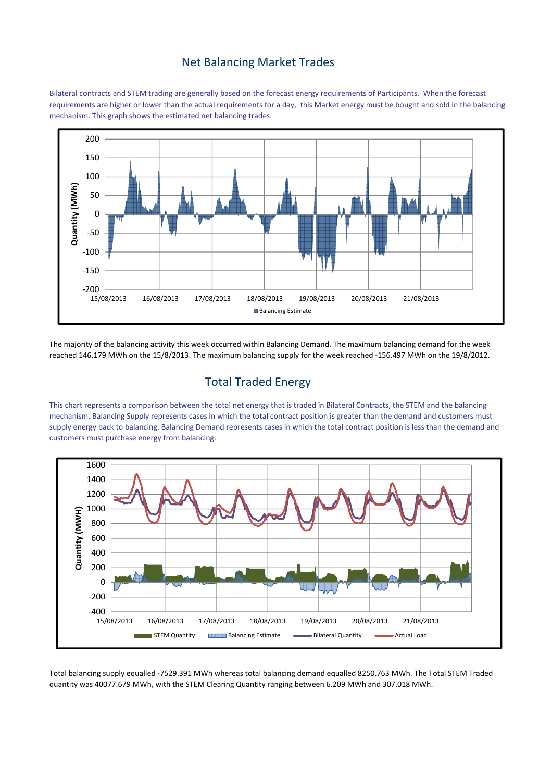## Net Balancing Market Trades

Bilateral contracts and STEM trading are generally based on the forecast energy requirements of Participants. When the forecast requirements are higher or lower than the actual requirements for a day, this Market energy must be bought and sold in the balancing mechanism. This graph shows the estimated net balancing trades.



The majority of the balancing activity this week occurred within Balancing Demand. The maximum balancing demand for the week reached 146.179 MWh on the 15/8/2013. The maximum balancing supply for the week reached -156.497 MWh on the 19/8/2012.

# Total Traded Energy

This chart represents a comparison between the total net energy that is traded in Bilateral Contracts, the STEM and the balancing mechanism. Balancing Supply represents cases in which the total contract position is greater than the demand and customers must supply energy back to balancing. Balancing Demand represents cases in which the total contract position is less than the demand and customers must purchase energy from balancing.



Total balancing supply equalled -7529.391 MWh whereas total balancing demand equalled 8250.763 MWh. The Total STEM Traded quantity was 40077.679 MWh, with the STEM Clearing Quantity ranging between 6.209 MWh and 307.018 MWh.